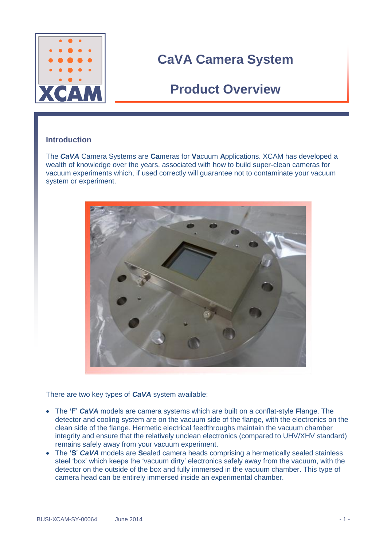

### **Product Overview**

#### **Introduction**

The *CaVA* Camera Systems are **Ca**meras for **V**acuum **A**pplications. XCAM has developed a wealth of knowledge over the years, associated with how to build super-clean cameras for vacuum experiments which, if used correctly will guarantee not to contaminate your vacuum system or experiment.



There are two key types of *CaVA* system available:

- The **'F**' *CaVA* models are camera systems which are built on a conflat-style **F**lange. The detector and cooling system are on the vacuum side of the flange, with the electronics on the clean side of the flange. Hermetic electrical feedthroughs maintain the vacuum chamber integrity and ensure that the relatively unclean electronics (compared to UHV/XHV standard) remains safely away from your vacuum experiment.
- The **'S**' *CaVA* models are **S**ealed camera heads comprising a hermetically sealed stainless steel 'box' which keeps the 'vacuum dirty' electronics safely away from the vacuum, with the detector on the outside of the box and fully immersed in the vacuum chamber. This type of camera head can be entirely immersed inside an experimental chamber.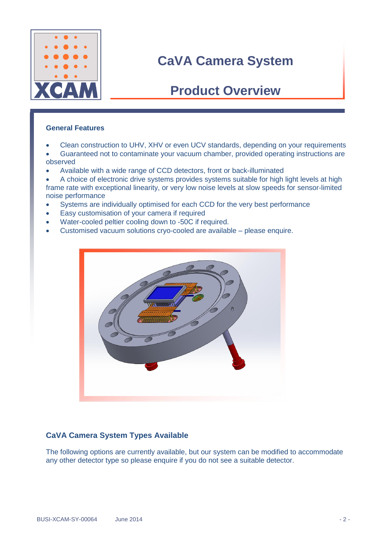

### **Product Overview**

#### **General Features**

- Clean construction to UHV, XHV or even UCV standards, depending on your requirements
- Guaranteed not to contaminate your vacuum chamber, provided operating instructions are observed
- Available with a wide range of CCD detectors, front or back-illuminated
- A choice of electronic drive systems provides systems suitable for high light levels at high frame rate with exceptional linearity, or very low noise levels at slow speeds for sensor-limited noise performance
- Systems are individually optimised for each CCD for the very best performance
- Easy customisation of your camera if required
- Water-cooled peltier cooling down to -50C if required.
- Customised vacuum solutions cryo-cooled are available please enquire.



#### **CaVA Camera System Types Available**

The following options are currently available, but our system can be modified to accommodate any other detector type so please enquire if you do not see a suitable detector.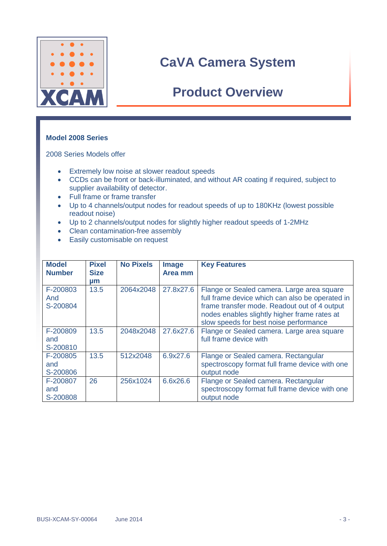

### **Product Overview**

#### **Model 2008 Series**

2008 Series Models offer

- **Extremely low noise at slower readout speeds**
- CCDs can be front or back-illuminated, and without AR coating if required, subject to supplier availability of detector.
- Full frame or frame transfer
- Up to 4 channels/output nodes for readout speeds of up to 180KHz (lowest possible readout noise)
- Up to 2 channels/output nodes for slightly higher readout speeds of 1-2MHz
- Clean contamination-free assembly
- Easily customisable on request

| <b>Model</b><br><b>Number</b> | <b>Pixel</b><br><b>Size</b> | <b>No Pixels</b> | <b>Image</b><br>Area mm | <b>Key Features</b>                                                                                                                                                                                                                     |
|-------------------------------|-----------------------------|------------------|-------------------------|-----------------------------------------------------------------------------------------------------------------------------------------------------------------------------------------------------------------------------------------|
|                               | μm                          |                  |                         |                                                                                                                                                                                                                                         |
| F-200803<br>And<br>S-200804   | 13.5                        | 2064x2048        | 27.8x27.6               | Flange or Sealed camera. Large area square<br>full frame device which can also be operated in<br>frame transfer mode. Readout out of 4 output<br>nodes enables slightly higher frame rates at<br>slow speeds for best noise performance |
| F-200809<br>and<br>S-200810   | 13.5                        | 2048x2048        | 27.6x27.6               | Flange or Sealed camera. Large area square<br>full frame device with                                                                                                                                                                    |
| F-200805<br>and<br>S-200806   | 13.5                        | 512x2048         | 6.9x27.6                | Flange or Sealed camera. Rectangular<br>spectroscopy format full frame device with one<br>output node                                                                                                                                   |
| F-200807<br>and<br>S-200808   | 26                          | 256x1024         | 6.6x26.6                | Flange or Sealed camera. Rectangular<br>spectroscopy format full frame device with one<br>output node                                                                                                                                   |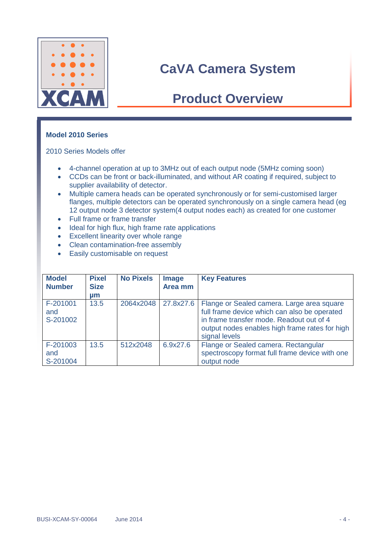

## **Product Overview**

#### **Model 2010 Series**

2010 Series Models offer

- 4-channel operation at up to 3MHz out of each output node (5MHz coming soon)
- CCDs can be front or back-illuminated, and without AR coating if required, subject to supplier availability of detector.
- Multiple camera heads can be operated synchronously or for semi-customised larger flanges, multiple detectors can be operated synchronously on a single camera head (eg 12 output node 3 detector system(4 output nodes each) as created for one customer
- Full frame or frame transfer
- Ideal for high flux, high frame rate applications
- Excellent linearity over whole range
- Clean contamination-free assembly
- Easily customisable on request

| <b>Model</b><br><b>Number</b> | <b>Pixel</b><br><b>Size</b><br>µm | <b>No Pixels</b> | <b>Image</b><br>Area mm | <b>Key Features</b>                                                                                                                                                                                       |
|-------------------------------|-----------------------------------|------------------|-------------------------|-----------------------------------------------------------------------------------------------------------------------------------------------------------------------------------------------------------|
| F-201001<br>and<br>S-201002   | 13.5                              | 2064x2048        | 27.8x27.6               | Flange or Sealed camera. Large area square<br>full frame device which can also be operated<br>in frame transfer mode. Readout out of 4<br>output nodes enables high frame rates for high<br>signal levels |
| F-201003<br>and<br>S-201004   | 13.5                              | 512x2048         | 6.9x27.6                | Flange or Sealed camera. Rectangular<br>spectroscopy format full frame device with one<br>output node                                                                                                     |